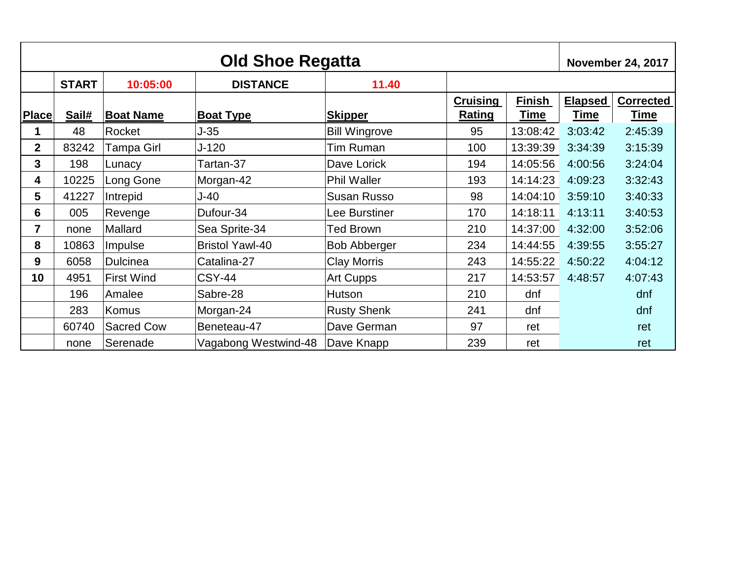| <b>Old Shoe Regatta</b> |              |                   |                        |                      |                           |                       | <b>November 24, 2017</b>      |                                 |
|-------------------------|--------------|-------------------|------------------------|----------------------|---------------------------|-----------------------|-------------------------------|---------------------------------|
|                         | <b>START</b> | 10:05:00          | <b>DISTANCE</b>        | 11.40                |                           |                       |                               |                                 |
| <b>Place</b>            | Sail#        | <b>Boat Name</b>  | <b>Boat Type</b>       | <b>Skipper</b>       | Cruising<br><b>Rating</b> | Finish<br><u>Time</u> | <b>Elapsed</b><br><b>Time</b> | <b>Corrected</b><br><u>Time</u> |
|                         | 48           | Rocket            | $J-35$                 | <b>Bill Wingrove</b> | 95                        | 13:08:42              | 3:03:42                       | 2:45:39                         |
| $\overline{2}$          | 83242        | Tampa Girl        | J-120                  | Tim Ruman            | 100                       | 13:39:39              | 3:34:39                       | 3:15:39                         |
| $\mathbf{3}$            | 198          | Lunacy            | Tartan-37              | Dave Lorick          | 194                       | 14:05:56              | 4:00:56                       | 3:24:04                         |
| 4                       | 10225        | Long Gone         | Morgan-42              | <b>Phil Waller</b>   | 193                       | 14:14:23              | 4:09:23                       | 3:32:43                         |
| 5                       | 41227        | Intrepid          | J-40                   | <b>Susan Russo</b>   | 98                        | 14:04:10              | 3:59:10                       | 3:40:33                         |
| 6                       | 005          | Revenge           | Dufour-34              | Lee Burstiner        | 170                       | 14:18:11              | 4:13:11                       | 3:40:53                         |
| $\overline{7}$          | none         | Mallard           | Sea Sprite-34          | <b>Ted Brown</b>     | 210                       | 14:37:00              | 4:32:00                       | 3:52:06                         |
| 8                       | 10863        | Impulse           | <b>Bristol Yawl-40</b> | <b>Bob Abberger</b>  | 234                       | 14:44:55              | 4:39:55                       | 3:55:27                         |
| 9                       | 6058         | <b>Dulcinea</b>   | Catalina-27            | <b>Clay Morris</b>   | 243                       | 14:55:22              | 4:50:22                       | 4:04:12                         |
| 10                      | 4951         | <b>First Wind</b> | <b>CSY-44</b>          | Art Cupps            | 217                       | 14:53:57              | 4:48:57                       | 4:07:43                         |
|                         | 196          | Amalee            | Sabre-28               | Hutson               | 210                       | dnf                   |                               | dnf                             |
|                         | 283          | Komus             | Morgan-24              | <b>Rusty Shenk</b>   | 241                       | dnf                   |                               | dnf                             |
|                         | 60740        | <b>Sacred Cow</b> | Beneteau-47            | Dave German          | 97                        | ret                   |                               | ret                             |
|                         | none         | Serenade          | Vagabong Westwind-48   | Dave Knapp           | 239                       | ret                   |                               | ret                             |